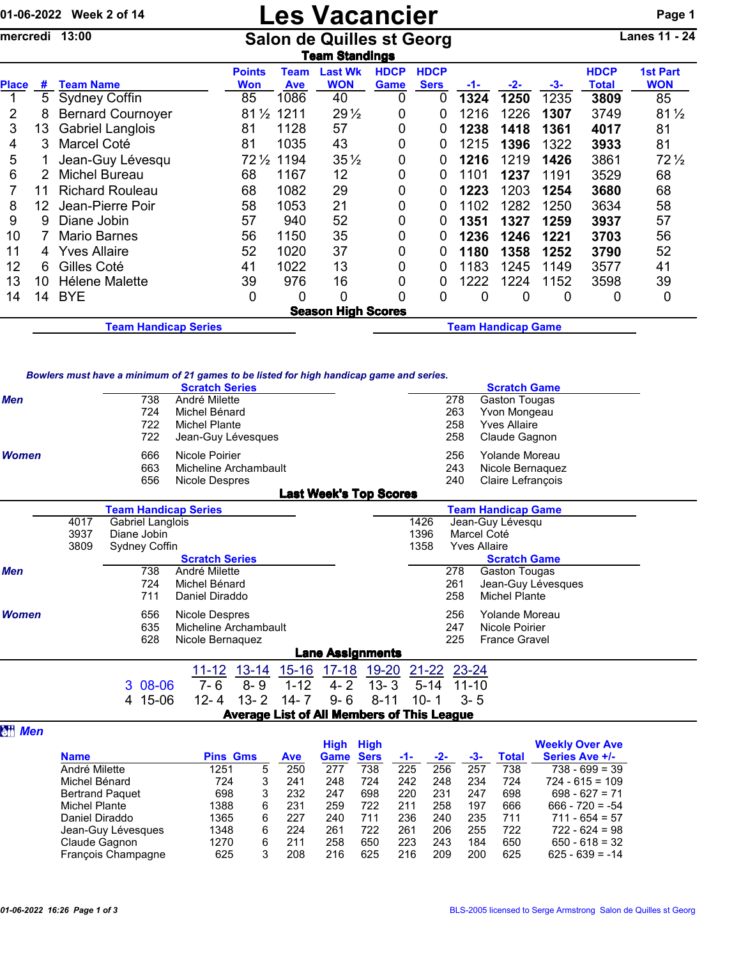## 01-06-2022 Week 2 of 14 **Les Vacancier** Page 1

mercredi 13:00 Salon de Quilles st Georg Lanes 11 - 24

|              | <b>Team Standings</b> |                             |                      |                    |                              |                     |                            |                           |       |      |                      |                               |  |  |  |
|--------------|-----------------------|-----------------------------|----------------------|--------------------|------------------------------|---------------------|----------------------------|---------------------------|-------|------|----------------------|-------------------------------|--|--|--|
| <b>Place</b> | #                     | <b>Team Name</b>            | <b>Points</b><br>Won | Team<br><b>Ave</b> | <b>Last Wk</b><br><b>WON</b> | <b>HDCP</b><br>Game | <b>HDCP</b><br><b>Sers</b> | -1-                       | $-2-$ | -3-  | <b>HDCP</b><br>Total | <b>1st Part</b><br><b>WON</b> |  |  |  |
|              | 5                     | <b>Sydney Coffin</b>        | 85                   | 1086               | 40                           | 0                   | 0                          | 1324                      | 1250  | 1235 | 3809                 | 85                            |  |  |  |
|              | 8                     | <b>Bernard Cournoyer</b>    | $81\frac{1}{2}$      | 1211               | $29\frac{1}{2}$              | 0                   | 0                          | 1216                      | 1226  | 1307 | 3749                 | $81\frac{1}{2}$               |  |  |  |
| 3            | 13                    | <b>Gabriel Langlois</b>     | 81                   | 1128               | 57                           | 0                   | 0                          | 1238                      | 1418  | 1361 | 4017                 | 81                            |  |  |  |
| 4            | 3                     | Marcel Coté                 | 81                   | 1035               | 43                           | 0                   | 0                          | 1215                      | 1396  | 1322 | 3933                 | 81                            |  |  |  |
| 5            |                       | Jean-Guy Lévesqu            | $72\frac{1}{2}$      | 1194               | $35\frac{1}{2}$              | 0                   | 0                          | 1216                      | 1219  | 1426 | 3861                 | $72\frac{1}{2}$               |  |  |  |
| 6            |                       | Michel Bureau               | 68                   | 1167               | 12                           | 0                   | 0                          | 1101                      | 1237  | 1191 | 3529                 | 68                            |  |  |  |
|              | 11                    | <b>Richard Rouleau</b>      | 68                   | 1082               | 29                           | 0                   | 0                          | 1223                      | 1203  | 1254 | 3680                 | 68                            |  |  |  |
| 8            | 12                    | Jean-Pierre Poir            | 58                   | 1053               | 21                           | 0                   | 0                          | 1102                      | 1282  | 1250 | 3634                 | 58                            |  |  |  |
| 9            | 9                     | Diane Jobin                 | 57                   | 940                | 52                           | 0                   | 0                          | 1351                      | 1327  | 1259 | 3937                 | 57                            |  |  |  |
| 10           |                       | <b>Mario Barnes</b>         | 56                   | 1150               | 35                           | 0                   | 0                          | 1236                      | 1246  | 1221 | 3703                 | 56                            |  |  |  |
| 11           | 4                     | <b>Yves Allaire</b>         | 52                   | 1020               | 37                           | 0                   | 0                          | 1180                      | 1358  | 1252 | 3790                 | 52                            |  |  |  |
| 12           | 6                     | Gilles Coté                 | 41                   | 1022               | 13                           | 0                   | 0                          | 1183                      | 1245  | 1149 | 3577                 | 41                            |  |  |  |
| 13           | 10 <sup>°</sup>       | Hélene Malette              | 39                   | 976                | 16                           | 0                   | 0                          | 1222                      | 1224  | 1152 | 3598                 | 39                            |  |  |  |
| 14           | 14                    | <b>BYE</b>                  | 0                    | 0                  | 0                            | 0                   | 0                          | 0                         | 0     | 0    | 0                    | $\mathbf 0$                   |  |  |  |
|              |                       |                             |                      |                    | <b>Season High Scores</b>    |                     |                            |                           |       |      |                      |                               |  |  |  |
|              |                       | <b>Team Handicap Series</b> |                      |                    |                              |                     |                            | <b>Team Handicap Game</b> |       |      |                      |                               |  |  |  |

## *Bowlers must have a minimum of 21 games to be listed for high handicap game and series.*

|            |      | <u>Dowlers must have a mimmum or z i games to be ilsted for myn handicap game and series.</u> | <b>Scratch Series</b> |           |           |                               |          |           |           | <b>Scratch Game</b>       |  |
|------------|------|-----------------------------------------------------------------------------------------------|-----------------------|-----------|-----------|-------------------------------|----------|-----------|-----------|---------------------------|--|
| <b>Men</b> |      | 738                                                                                           | André Milette         |           |           |                               |          |           | 278       | Gaston Tougas             |  |
|            |      | 724                                                                                           | Michel Bénard         |           |           |                               |          |           | 263       | Yvon Mongeau              |  |
|            |      | 722                                                                                           | <b>Michel Plante</b>  |           |           |                               |          |           | 258       | <b>Yves Allaire</b>       |  |
|            |      | 722                                                                                           | Jean-Guy Lévesques    |           |           |                               |          |           | 258       | Claude Gagnon             |  |
| Women      |      | 666                                                                                           | Nicole Poirier        |           |           |                               |          |           | 256       | Yolande Moreau            |  |
|            |      | 663                                                                                           | Micheline Archambault |           |           |                               |          |           | 243       | Nicole Bernaquez          |  |
|            |      | 656                                                                                           | Nicole Despres        |           |           |                               |          |           | 240       | Claire Lefrançois         |  |
|            |      |                                                                                               |                       |           |           | <b>Last Week's Top Scores</b> |          |           |           |                           |  |
|            |      | <b>Team Handicap Series</b>                                                                   |                       |           |           |                               |          |           |           | <b>Team Handicap Game</b> |  |
|            | 4017 | Gabriel Langlois                                                                              |                       |           |           |                               |          | 1426      |           | Jean-Guy Lévesqu          |  |
|            | 3937 | Diane Jobin                                                                                   |                       |           |           |                               |          | 1396      |           | Marcel Coté               |  |
|            | 3809 | Sydney Coffin                                                                                 |                       |           |           |                               |          | 1358      |           | <b>Yves Allaire</b>       |  |
|            |      |                                                                                               | <b>Scratch Series</b> |           |           |                               |          |           |           | <b>Scratch Game</b>       |  |
| <b>Men</b> |      | 738                                                                                           | André Milette         |           |           |                               |          |           | 278       | Gaston Tougas             |  |
|            |      | 724                                                                                           | Michel Bénard         |           |           |                               |          |           | 261       | Jean-Guy Lévesques        |  |
|            |      | 711                                                                                           | Daniel Diraddo        |           |           |                               |          |           | 258       | Michel Plante             |  |
| Women      |      | 656                                                                                           | Nicole Despres        |           |           |                               |          |           | 256       | Yolande Moreau            |  |
|            |      | 635                                                                                           | Micheline Archambault |           |           |                               |          |           | 247       | Nicole Poirier            |  |
|            |      | 628                                                                                           | Nicole Bernaquez      |           |           |                               |          |           | 225       | <b>France Gravel</b>      |  |
|            |      |                                                                                               |                       |           |           | <b>Lane Assignments</b>       |          |           |           |                           |  |
|            |      |                                                                                               | $11 - 12$             | $13 - 14$ | $15 - 16$ | $17 - 18$                     | 19-20    | $21 - 22$ | 23-24     |                           |  |
|            |      | 3 08-06                                                                                       | 7- 6                  | $8 - 9$   | $1 - 12$  | $4 - 2$                       | $13 - 3$ | 5-14      | $11 - 10$ |                           |  |

## **a**<sub>*Men*</sub>

|                        |                 |   |            | High        | High        |     |     |     |       | <b>Weekly Over Ave</b> |
|------------------------|-----------------|---|------------|-------------|-------------|-----|-----|-----|-------|------------------------|
| <b>Name</b>            | <b>Pins Gms</b> |   | <b>Ave</b> | <b>Game</b> | <b>Sers</b> | -1- | -2- | -3- | Total | Series Ave +/-         |
| André Milette          | 1251            | 5 | 250        | 277         | 738         | 225 | 256 | 257 | 738   | $738 - 699 = 39$       |
| Michel Bénard          | 724             | 3 | 241        | 248         | 724         | 242 | 248 | 234 | 724   | $724 - 615 = 109$      |
| <b>Bertrand Paquet</b> | 698             | 3 | 232        | 247         | 698         | 220 | 231 | 247 | 698   | $698 - 627 = 71$       |
| Michel Plante          | 1388            | 6 | 231        | 259         | 722         | 211 | 258 | 197 | 666   | $666 - 720 = -54$      |
| Daniel Diraddo         | 1365            | 6 | 227        | 240         | 711         | 236 | 240 | 235 | 711   | $711 - 654 = 57$       |
| Jean-Guy Lévesques     | 1348            | 6 | 224        | 261         | 722         | 261 | 206 | 255 | 722   | $722 - 624 = 98$       |
| Claude Gagnon          | 1270            | 6 | 211        | 258         | 650         | 223 | 243 | 184 | 650   | $650 - 618 = 32$       |
| François Champagne     | 625             | 3 | 208        | 216         | 625         | 216 | 209 | 200 | 625   | $625 - 639 = -14$      |

Average List of All Members of This League

4 15-06 12- 4 13- 2 14- 7 9- 6 8-11 10- 1 3- 5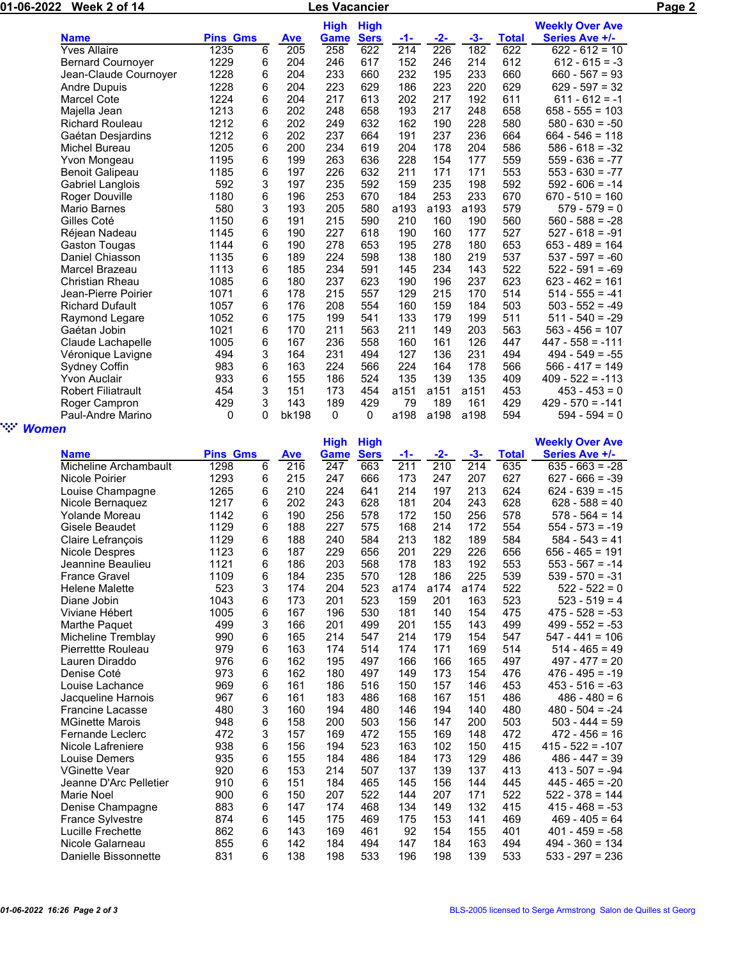| 01-06-2022 Week 2 of 14 |                           |                 |   |                  | <b>Les Vacancier</b> |             |       |                 | Page 2 |              |                        |  |
|-------------------------|---------------------------|-----------------|---|------------------|----------------------|-------------|-------|-----------------|--------|--------------|------------------------|--|
|                         |                           |                 |   |                  | High                 | <b>High</b> |       |                 |        |              | <b>Weekly Over Ave</b> |  |
|                         | <b>Name</b>               | <b>Pins Gms</b> |   | <b>Ave</b>       | Game                 | <b>Sers</b> | $-1-$ | -2-             | -3-    | <b>Total</b> | Series Ave +/-         |  |
|                         | <b>Yves Allaire</b>       | 1235            | 6 | $\overline{205}$ | 258                  | 622         | 214   | 226             | 182    | 622          | 622 - 612 = 10         |  |
|                         | <b>Bernard Cournoyer</b>  | 1229            | 6 | 204              | 246                  | 617         | 152   | 246             | 214    | 612          | $612 - 615 = -3$       |  |
|                         | Jean-Claude Cournoyer     | 1228            | 6 | 204              | 233                  | 660         | 232   | 195             | 233    | 660          | $660 - 567 = 93$       |  |
|                         | <b>Andre Dupuis</b>       | 1228            | 6 | 204              | 223                  | 629         | 186   | 223             | 220    | 629          | $629 - 597 = 32$       |  |
|                         | <b>Marcel Cote</b>        | 1224            | 6 | 204              | 217                  | 613         | 202   | 217             | 192    | 611          | $611 - 612 = -1$       |  |
|                         | Majella Jean              | 1213            | 6 | 202              | 248                  | 658         | 193   | 217             | 248    | 658          | $658 - 555 = 103$      |  |
|                         | <b>Richard Rouleau</b>    | 1212            | 6 | 202              | 249                  | 632         | 162   | 190             | 228    | 580          | $580 - 630 = -50$      |  |
|                         | Gaétan Desjardins         | 1212            | 6 | 202              | 237                  | 664         | 191   | 237             | 236    | 664          | $664 - 546 = 118$      |  |
|                         | Michel Bureau             | 1205            | 6 | 200              | 234                  | 619         | 204   | 178             | 204    | 586          | $586 - 618 = -32$      |  |
|                         | Yvon Mongeau              | 1195            | 6 | 199              | 263                  | 636         | 228   | 154             | 177    | 559          | $559 - 636 = -77$      |  |
|                         | Benoit Galipeau           | 1185            | 6 | 197              | 226                  | 632         | 211   | 171             | 171    | 553          | $553 - 630 = -77$      |  |
|                         | Gabriel Langlois          | 592             | 3 | 197              | 235                  | 592         | 159   | 235             | 198    | 592          | $592 - 606 = -14$      |  |
|                         | Roger Douville            | 1180            | 6 | 196              | 253                  | 670         | 184   | 253             | 233    | 670          | $670 - 510 = 160$      |  |
|                         | <b>Mario Barnes</b>       | 580             | 3 | 193              | 205                  | 580         | a193  | a193            | a193   | 579          | $579 - 579 = 0$        |  |
|                         | Gilles Coté               | 1150            | 6 | 191              | 215                  | 590         | 210   | 160             | 190    | 560          | $560 - 588 = -28$      |  |
|                         | Réjean Nadeau             | 1145            | 6 | 190              | 227                  | 618         | 190   | 160             | 177    | 527          | $527 - 618 = -91$      |  |
|                         | Gaston Tougas             | 1144            | 6 | 190              | 278                  | 653         | 195   | 278             | 180    | 653          | $653 - 489 = 164$      |  |
|                         | Daniel Chiasson           | 1135            | 6 | 189              | 224                  | 598         | 138   | 180             | 219    | 537          | $537 - 597 = -60$      |  |
|                         | Marcel Brazeau            | 1113            | 6 | 185              | 234                  | 591         | 145   | 234             | 143    | 522          | $522 - 591 = -69$      |  |
|                         | Christian Rheau           | 1085            | 6 | 180              | 237                  | 623         | 190   | 196             | 237    | 623          | $623 - 462 = 161$      |  |
|                         | Jean-Pierre Poirier       | 1071            | 6 | 178              | 215                  | 557         | 129   | 215             | 170    | 514          | $514 - 555 = -41$      |  |
|                         | <b>Richard Dufault</b>    | 1057            | 6 | 176              | 208                  | 554         | 160   | 159             | 184    | 503          | $503 - 552 = -49$      |  |
|                         | Raymond Legare            | 1052            | 6 | 175              | 199                  | 541         | 133   | 179             | 199    | 511          | $511 - 540 = -29$      |  |
|                         | Gaétan Jobin              | 1021            | 6 | 170              | 211                  | 563         | 211   | 149             | 203    | 563          | $563 - 456 = 107$      |  |
|                         | Claude Lachapelle         | 1005            | 6 | 167              | 236                  | 558         | 160   | 161             | 126    | 447          | $447 - 558 = -111$     |  |
|                         | Véronique Lavigne         | 494             | 3 | 164              | 231                  | 494         | 127   | 136             | 231    | 494          | $494 - 549 = -55$      |  |
|                         | Sydney Coffin             | 983             | 6 | 163              | 224                  | 566         | 224   | 164             | 178    | 566          | $566 - 417 = 149$      |  |
|                         | <b>Yvon Auclair</b>       | 933             | 6 | 155              | 186                  | 524         | 135   | 139             | 135    | 409          | $409 - 522 = -113$     |  |
|                         | <b>Robert Filiatrault</b> | 454             | 3 | 151              | 173                  | 454         | a151  | a151            | a151   | 453          | $453 - 453 = 0$        |  |
|                         | Roger Campron             | 429             | 3 | 143              | 189                  | 429         | 79    | 189             | 161    | 429          | $429 - 570 = -141$     |  |
|                         | Paul-Andre Marino         | 0               | 0 | bk198            | 0                    | 0           | a198  | a198            | a198   | 594          | $594 - 594 = 0$        |  |
| ` <sup>:</sup> ∵ Women  |                           |                 |   |                  |                      |             |       |                 |        |              |                        |  |
|                         |                           |                 |   |                  | <b>High</b>          | <b>High</b> |       |                 |        |              | <b>Weekly Over Ave</b> |  |
|                         | <b>Name</b>               | <b>Pins Gms</b> |   | <b>Ave</b>       | Game                 | <b>Sers</b> | $-1-$ | $-2-$           | $-3-$  | <b>Total</b> | Series Ave +/-         |  |
|                         | Micheline Archambault     | 1298            | 6 | 216              | 247                  | 663         | 211   | $\frac{1}{210}$ | 214    | 635          | $635 - 663 = -28$      |  |
|                         | Nicole Poirier            | 1293            | 6 | 215              | 247                  | 666         | 173   | 247             | 207    | 627          | $627 - 666 = -39$      |  |
|                         | Louise Champagne          | 1265            | 6 | 210              | 224                  | 641         | 214   | 197             | 213    | 624          | $624 - 639 = -15$      |  |
|                         | Nicole Bernaquez          | 1217            | 6 | 202              | 243                  | 628         | 181   | 204             | 243    | 628          | $628 - 588 = 40$       |  |
|                         | <b>Yolande Moreau</b>     | 1142            | 6 | 190              | 256                  | 578         | 172   | 150             | 256    | 578          | $578 - 564 = 14$       |  |
|                         | Gisele Beaudet            | 1129            | 6 | 188              | 227                  | 575         | 168   | 214             | 172    | 554          | $554 - 573 = -19$      |  |
|                         | Claire Lefrançois         | 1129            | 6 | 188              | 240                  | 584         | 213   | 182             | 189    | 584          | $584 - 543 = 41$       |  |
|                         | Nicole Despres            | 1123            | 6 | 187              | 229                  | 656         | 201   | 229             | 226    | 656          | $656 - 465 = 191$      |  |
|                         | Jeannine Beaulieu         | 1121            | 6 | 186              | 203                  | 568         | 178   | 183             | 192    | 553          | $553 - 567 = -14$      |  |
|                         | <b>France Gravel</b>      | 1109            | 6 | 184              | 235                  | 570         | 128   | 186             | 225    | 539          | $539 - 570 = -31$      |  |
|                         | Helene Malette            | 523             | 3 | 174              | 204                  | 523         | a174  | a174            | a174   | 522          | $522 - 522 = 0$        |  |
|                         |                           |                 |   |                  |                      |             |       |                 |        |              |                        |  |

| Name                     | <b>THIS OIIIS</b> |                | <u>дус</u> | <u>uaniu</u> | <u>oua</u> | - 1 - | -4-  | <u>-u-</u> | <u>i vtai</u> | $001103$ MVG $117$ |
|--------------------------|-------------------|----------------|------------|--------------|------------|-------|------|------------|---------------|--------------------|
| Micheline Archambault    | 1298              | $\overline{6}$ | 216        | 247          | 663        | 211   | 210  | 214        | 635           | $635 - 663 = -28$  |
| Nicole Poirier           | 1293              | 6              | 215        | 247          | 666        | 173   | 247  | 207        | 627           | $627 - 666 = -39$  |
| Louise Champagne         | 1265              | 6              | 210        | 224          | 641        | 214   | 197  | 213        | 624           | $624 - 639 = -15$  |
| Nicole Bernaguez         | 1217              | 6              | 202        | 243          | 628        | 181   | 204  | 243        | 628           | $628 - 588 = 40$   |
| Yolande Moreau           | 1142              | 6              | 190        | 256          | 578        | 172   | 150  | 256        | 578           | $578 - 564 = 14$   |
| Gisele Beaudet           | 1129              | 6              | 188        | 227          | 575        | 168   | 214  | 172        | 554           | $554 - 573 = -19$  |
| <b>Claire Lefrancois</b> | 1129              | 6              | 188        | 240          | 584        | 213   | 182  | 189        | 584           | $584 - 543 = 41$   |
| Nicole Despres           | 1123              | 6              | 187        | 229          | 656        | 201   | 229  | 226        | 656           | $656 - 465 = 191$  |
| Jeannine Beaulieu        | 1121              | 6              | 186        | 203          | 568        | 178   | 183  | 192        | 553           | $553 - 567 = -14$  |
| <b>France Gravel</b>     | 1109              | 6              | 184        | 235          | 570        | 128   | 186  | 225        | 539           | $539 - 570 = -31$  |
| <b>Helene Malette</b>    | 523               | 3              | 174        | 204          | 523        | a174  | a174 | a174       | 522           | $522 - 522 = 0$    |
| Diane Jobin              | 1043              | 6              | 173        | 201          | 523        | 159   | 201  | 163        | 523           | $523 - 519 = 4$    |
| Viviane Hébert           | 1005              | 6              | 167        | 196          | 530        | 181   | 140  | 154        | 475           | $475 - 528 = -53$  |
| Marthe Paguet            | 499               | 3              | 166        | 201          | 499        | 201   | 155  | 143        | 499           | $499 - 552 = -53$  |
| Micheline Tremblay       | 990               | 6              | 165        | 214          | 547        | 214   | 179  | 154        | 547           | $547 - 441 = 106$  |
| Pierrettte Rouleau       | 979               | 6              | 163        | 174          | 514        | 174   | 171  | 169        | 514           | $514 - 465 = 49$   |
| Lauren Diraddo           | 976               | 6              | 162        | 195          | 497        | 166   | 166  | 165        | 497           | $497 - 477 = 20$   |
| Denise Coté              | 973               | 6              | 162        | 180          | 497        | 149   | 173  | 154        | 476           | $476 - 495 = -19$  |
| Louise Lachance          | 969               | 6              | 161        | 186          | 516        | 150   | 157  | 146        | 453           | $453 - 516 = -63$  |
| Jacqueline Harnois       | 967               | 6              | 161        | 183          | 486        | 168   | 167  | 151        | 486           | $486 - 480 = 6$    |
| <b>Francine Lacasse</b>  | 480               | 3              | 160        | 194          | 480        | 146   | 194  | 140        | 480           | $480 - 504 = -24$  |
| <b>MGinette Marois</b>   | 948               | 6              | 158        | 200          | 503        | 156   | 147  | 200        | 503           | $503 - 444 = 59$   |
| Fernande Leclerc         | 472               | 3              | 157        | 169          | 472        | 155   | 169  | 148        | 472           | $472 - 456 = 16$   |
| Nicole Lafreniere        | 938               | 6              | 156        | 194          | 523        | 163   | 102  | 150        | 415           | $415 - 522 = -107$ |
| Louise Demers            | 935               | 6              | 155        | 184          | 486        | 184   | 173  | 129        | 486           | $486 - 447 = 39$   |
| <b>VGinette Vear</b>     | 920               | 6              | 153        | 214          | 507        | 137   | 139  | 137        | 413           | $413 - 507 = -94$  |
| Jeanne D'Arc Pelletier   | 910               | 6              | 151        | 184          | 465        | 145   | 156  | 144        | 445           | $445 - 465 = -20$  |
| Marie Noel               | 900               | 6              | 150        | 207          | 522        | 144   | 207  | 171        | 522           | $522 - 378 = 144$  |
| Denise Champagne         | 883               | 6              | 147        | 174          | 468        | 134   | 149  | 132        | 415           | $415 - 468 = -53$  |
| France Sylvestre         | 874               | 6              | 145        | 175          | 469        | 175   | 153  | 141        | 469           | $469 - 405 = 64$   |
| Lucille Frechette        | 862               | 6              | 143        | 169          | 461        | 92    | 154  | 155        | 401           | $401 - 459 = -58$  |
| Nicole Galarneau         | 855               | 6              | 142        | 184          | 494        | 147   | 184  | 163        | 494           | $494 - 360 = 134$  |
| Danielle Bissonnette     | 831               | 6              | 138        | 198          | 533        | 196   | 198  | 139        | 533           | $533 - 297 = 236$  |
|                          |                   |                |            |              |            |       |      |            |               |                    |